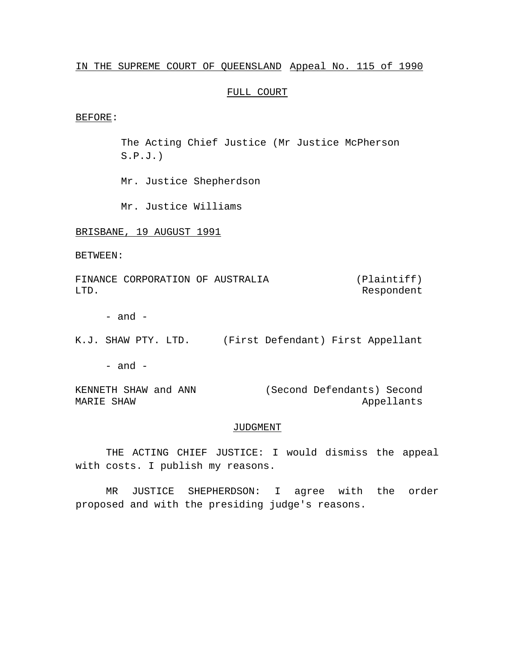# IN THE SUPREME COURT OF QUEENSLAND Appeal No. 115 of 1990

# FULL COURT

#### BEFORE:

The Acting Chief Justice (Mr Justice McPherson  $S.P.J.$ )

Mr. Justice Shepherdson

Mr. Justice Williams

BRISBANE, 19 AUGUST 1991

BETWEEN:

FINANCE CORPORATION OF AUSTRALIA LTD. (Plaintiff) Respondent

- and -

K.J. SHAW PTY. LTD. (First Defendant) First Appellant

 $-$  and  $-$ 

KENNETH SHAW and ANN MARIE SHAW (Second Defendants) Second Appellants

## JUDGMENT

THE ACTING CHIEF JUSTICE: I would dismiss the appeal with costs. I publish my reasons.

MR JUSTICE SHEPHERDSON: I agree with the order proposed and with the presiding judge's reasons.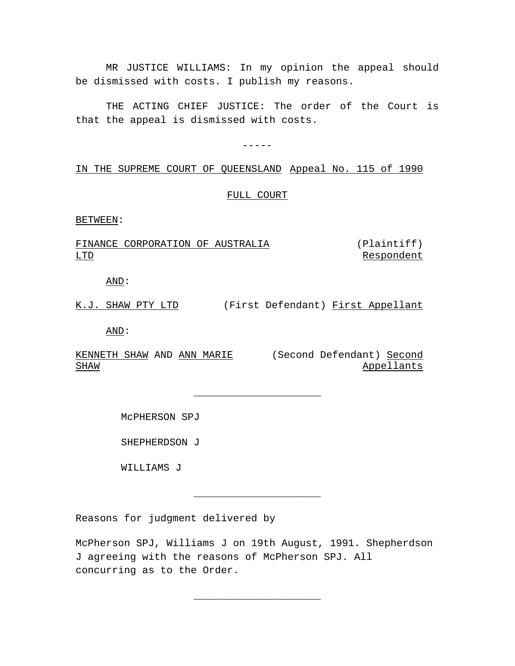MR JUSTICE WILLIAMS: In my opinion the appeal should be dismissed with costs. I publish my reasons.

THE ACTING CHIEF JUSTICE: The order of the Court is that the appeal is dismissed with costs.

-----

# IN THE SUPREME COURT OF QUEENSLAND Appeal No. 115 of 1990

# FULL COURT

BETWEEN:

#### FINANCE CORPORATION OF AUSTRALIA LTD (Plaintiff) Respondent

AND:

K.J. SHAW PTY LTD (First Defendant) First Appellant

\_\_\_\_\_\_\_\_\_\_\_\_\_\_\_\_\_\_\_\_\_

AND:

KENNETH SHAW AND ANN MARIE (Second Defendant) Second SHAW

Appellants

McPHERSON SPJ

SHEPHERDSON J

WILLIAMS J

Reasons for judgment delivered by

McPherson SPJ, Williams J on 19th August, 1991. Shepherdson J agreeing with the reasons of McPherson SPJ. All concurring as to the Order.

\_\_\_\_\_\_\_\_\_\_\_\_\_\_\_\_\_\_\_\_\_

\_\_\_\_\_\_\_\_\_\_\_\_\_\_\_\_\_\_\_\_\_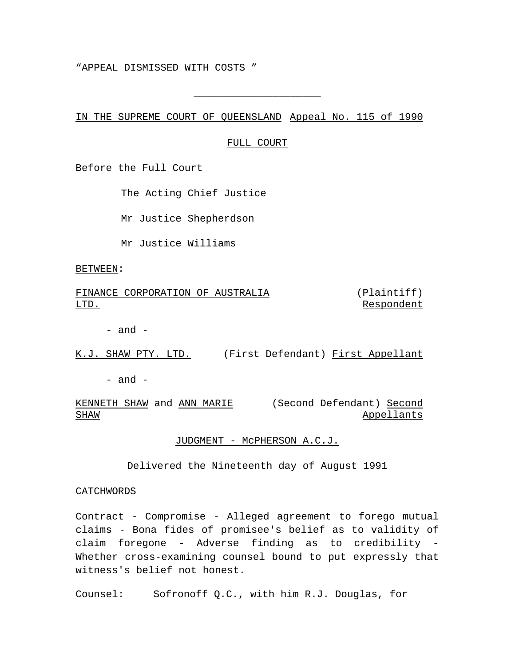"APPEAL DISMISSED WITH COSTS "

IN THE SUPREME COURT OF QUEENSLAND Appeal No. 115 of 1990

### FULL COURT

\_\_\_\_\_\_\_\_\_\_\_\_\_\_\_\_\_\_\_\_\_

Before the Full Court

The Acting Chief Justice

Mr Justice Shepherdson

Mr Justice Williams

BETWEEN:

FINANCE CORPORATION OF AUSTRALIA LTD. (Plaintiff) Respondent

 $-$  and  $-$ 

K.J. SHAW PTY. LTD. (First Defendant) First Appellant

 $-$  and  $-$ 

KENNETH SHAW and ANN MARIE (Second Defendant) Second SHAW Appellants

JUDGMENT - McPHERSON A.C.J.

Delivered the Nineteenth day of August 1991

CATCHWORDS

Contract - Compromise - Alleged agreement to forego mutual claims - Bona fides of promisee's belief as to validity of claim foregone - Adverse finding as to credibility - Whether cross-examining counsel bound to put expressly that witness's belief not honest.

Counsel: Sofronoff Q.C., with him R.J. Douglas, for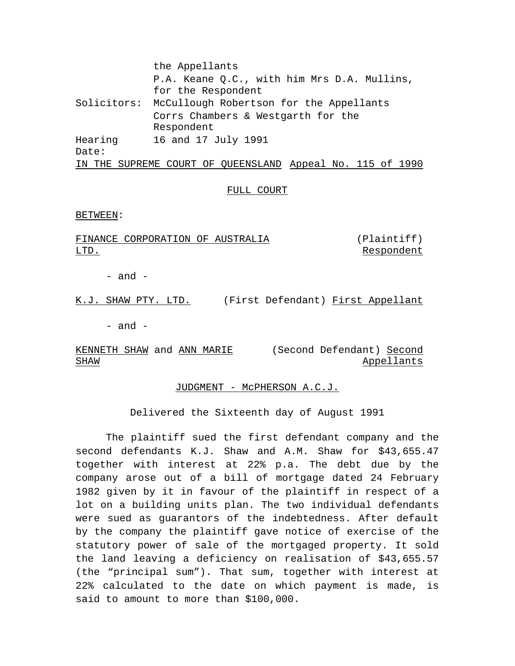the Appellants P.A. Keane Q.C., with him Mrs D.A. Mullins, for the Respondent Solicitors: McCullough Robertson for the Appellants Corrs Chambers & Westgarth for the Respondent Hearing Date: 16 and 17 July 1991 IN THE SUPREME COURT OF QUEENSLAND Appeal No. 115 of 1990

# FULL COURT

BETWEEN:

FINANCE CORPORATION OF AUSTRALIA LTD. (Plaintiff) Respondent

- and -

K.J. SHAW PTY. LTD. (First Defendant) First Appellant

- and -

KENNETH SHAW and ANN MARIE (Second Defendant) Second SHAW Appellants

## JUDGMENT - McPHERSON A.C.J.

Delivered the Sixteenth day of August 1991

The plaintiff sued the first defendant company and the second defendants K.J. Shaw and A.M. Shaw for \$43,655.47 together with interest at 22% p.a. The debt due by the company arose out of a bill of mortgage dated 24 February 1982 given by it in favour of the plaintiff in respect of a lot on a building units plan. The two individual defendants were sued as guarantors of the indebtedness. After default by the company the plaintiff gave notice of exercise of the statutory power of sale of the mortgaged property. It sold the land leaving a deficiency on realisation of \$43,655.57 (the "principal sum"). That sum, together with interest at 22% calculated to the date on which payment is made, is said to amount to more than \$100,000.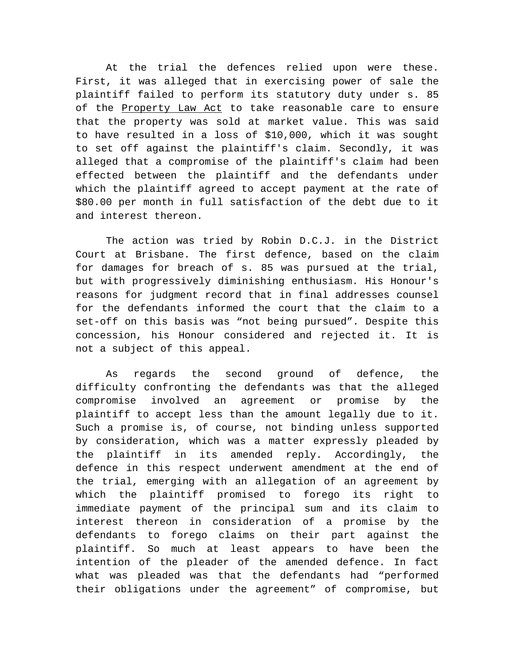At the trial the defences relied upon were these. First, it was alleged that in exercising power of sale the plaintiff failed to perform its statutory duty under s. 85 of the Property Law Act to take reasonable care to ensure that the property was sold at market value. This was said to have resulted in a loss of \$10,000, which it was sought to set off against the plaintiff's claim. Secondly, it was alleged that a compromise of the plaintiff's claim had been effected between the plaintiff and the defendants under which the plaintiff agreed to accept payment at the rate of \$80.00 per month in full satisfaction of the debt due to it and interest thereon.

The action was tried by Robin D.C.J. in the District Court at Brisbane. The first defence, based on the claim for damages for breach of s. 85 was pursued at the trial, but with progressively diminishing enthusiasm. His Honour's reasons for judgment record that in final addresses counsel for the defendants informed the court that the claim to a set-off on this basis was "not being pursued". Despite this concession, his Honour considered and rejected it. It is not a subject of this appeal.

As regards the second ground of defence, the difficulty confronting the defendants was that the alleged compromise involved an agreement or promise by the plaintiff to accept less than the amount legally due to it. Such a promise is, of course, not binding unless supported by consideration, which was a matter expressly pleaded by the plaintiff in its amended reply. Accordingly, the defence in this respect underwent amendment at the end of the trial, emerging with an allegation of an agreement by which the plaintiff promised to forego its right to immediate payment of the principal sum and its claim to interest thereon in consideration of a promise by the defendants to forego claims on their part against the plaintiff. So much at least appears to have been the intention of the pleader of the amended defence. In fact what was pleaded was that the defendants had "performed their obligations under the agreement" of compromise, but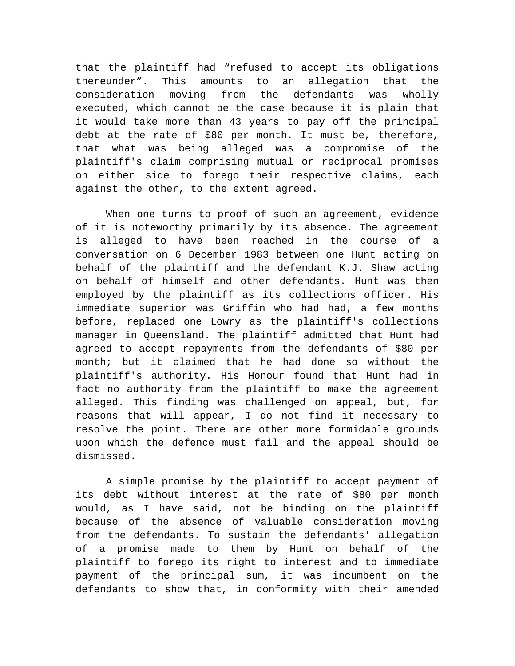that the plaintiff had "refused to accept its obligations thereunder". This amounts to an allegation that the consideration moving from the defendants was wholly executed, which cannot be the case because it is plain that it would take more than 43 years to pay off the principal debt at the rate of \$80 per month. It must be, therefore, that what was being alleged was a compromise of the plaintiff's claim comprising mutual or reciprocal promises on either side to forego their respective claims, each against the other, to the extent agreed.

When one turns to proof of such an agreement, evidence of it is noteworthy primarily by its absence. The agreement is alleged to have been reached in the course of a conversation on 6 December 1983 between one Hunt acting on behalf of the plaintiff and the defendant K.J. Shaw acting on behalf of himself and other defendants. Hunt was then employed by the plaintiff as its collections officer. His immediate superior was Griffin who had had, a few months before, replaced one Lowry as the plaintiff's collections manager in Queensland. The plaintiff admitted that Hunt had agreed to accept repayments from the defendants of \$80 per month; but it claimed that he had done so without the plaintiff's authority. His Honour found that Hunt had in fact no authority from the plaintiff to make the agreement alleged. This finding was challenged on appeal, but, for reasons that will appear, I do not find it necessary to resolve the point. There are other more formidable grounds upon which the defence must fail and the appeal should be dismissed.

A simple promise by the plaintiff to accept payment of its debt without interest at the rate of \$80 per month would, as I have said, not be binding on the plaintiff because of the absence of valuable consideration moving from the defendants. To sustain the defendants' allegation of a promise made to them by Hunt on behalf of the plaintiff to forego its right to interest and to immediate payment of the principal sum, it was incumbent on the defendants to show that, in conformity with their amended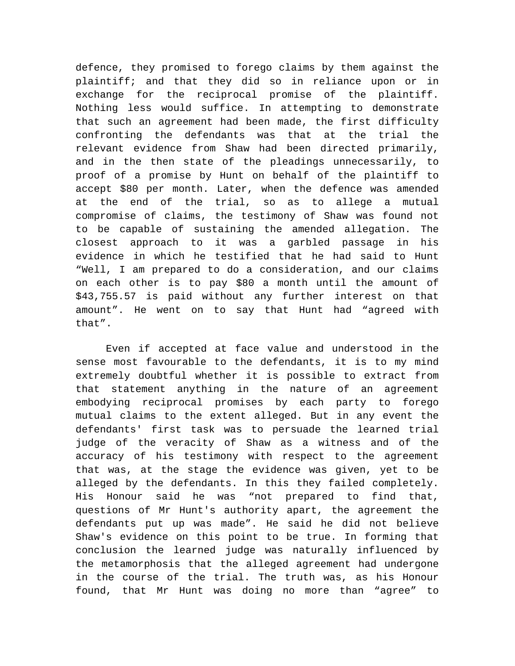defence, they promised to forego claims by them against the plaintiff; and that they did so in reliance upon or in exchange for the reciprocal promise of the plaintiff. Nothing less would suffice. In attempting to demonstrate that such an agreement had been made, the first difficulty confronting the defendants was that at the trial the relevant evidence from Shaw had been directed primarily, and in the then state of the pleadings unnecessarily, to proof of a promise by Hunt on behalf of the plaintiff to accept \$80 per month. Later, when the defence was amended at the end of the trial, so as to allege a mutual compromise of claims, the testimony of Shaw was found not to be capable of sustaining the amended allegation. The closest approach to it was a garbled passage in his evidence in which he testified that he had said to Hunt "Well, I am prepared to do a consideration, and our claims on each other is to pay \$80 a month until the amount of \$43,755.57 is paid without any further interest on that amount". He went on to say that Hunt had "agreed with that".

Even if accepted at face value and understood in the sense most favourable to the defendants, it is to my mind extremely doubtful whether it is possible to extract from that statement anything in the nature of an agreement embodying reciprocal promises by each party to forego mutual claims to the extent alleged. But in any event the defendants' first task was to persuade the learned trial judge of the veracity of Shaw as a witness and of the accuracy of his testimony with respect to the agreement that was, at the stage the evidence was given, yet to be alleged by the defendants. In this they failed completely. His Honour said he was "not prepared to find that, questions of Mr Hunt's authority apart, the agreement the defendants put up was made". He said he did not believe Shaw's evidence on this point to be true. In forming that conclusion the learned judge was naturally influenced by the metamorphosis that the alleged agreement had undergone in the course of the trial. The truth was, as his Honour found, that Mr Hunt was doing no more than "agree" to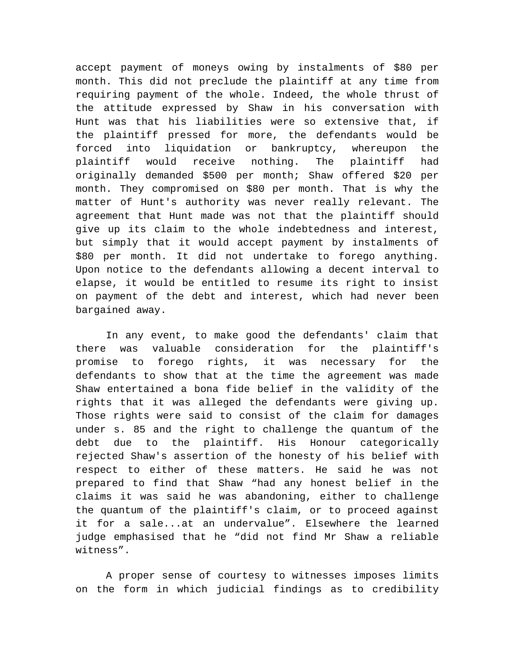accept payment of moneys owing by instalments of \$80 per month. This did not preclude the plaintiff at any time from requiring payment of the whole. Indeed, the whole thrust of the attitude expressed by Shaw in his conversation with Hunt was that his liabilities were so extensive that, if the plaintiff pressed for more, the defendants would be forced into liquidation or bankruptcy, whereupon the plaintiff would receive nothing. The plaintiff had originally demanded \$500 per month; Shaw offered \$20 per month. They compromised on \$80 per month. That is why the matter of Hunt's authority was never really relevant. The agreement that Hunt made was not that the plaintiff should give up its claim to the whole indebtedness and interest, but simply that it would accept payment by instalments of \$80 per month. It did not undertake to forego anything. Upon notice to the defendants allowing a decent interval to elapse, it would be entitled to resume its right to insist on payment of the debt and interest, which had never been bargained away.

In any event, to make good the defendants' claim that there was valuable consideration for the plaintiff's promise to forego rights, it was necessary for the defendants to show that at the time the agreement was made Shaw entertained a bona fide belief in the validity of the rights that it was alleged the defendants were giving up. Those rights were said to consist of the claim for damages under s. 85 and the right to challenge the quantum of the debt due to the plaintiff. His Honour categorically rejected Shaw's assertion of the honesty of his belief with respect to either of these matters. He said he was not prepared to find that Shaw "had any honest belief in the claims it was said he was abandoning, either to challenge the quantum of the plaintiff's claim, or to proceed against it for a sale...at an undervalue". Elsewhere the learned judge emphasised that he "did not find Mr Shaw a reliable witness".

A proper sense of courtesy to witnesses imposes limits on the form in which judicial findings as to credibility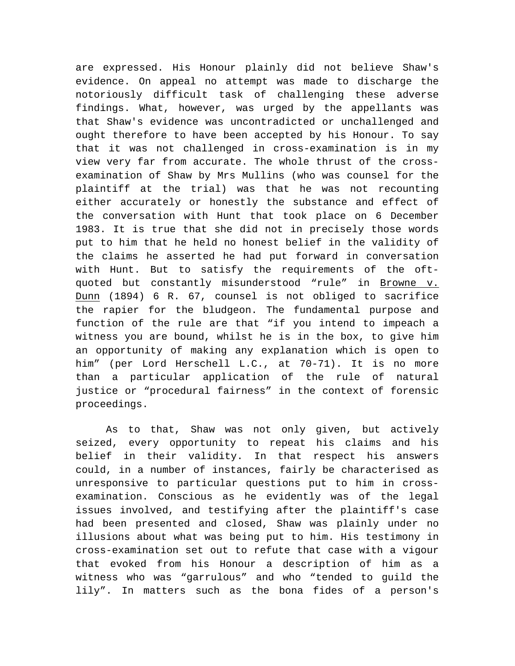are expressed. His Honour plainly did not believe Shaw's evidence. On appeal no attempt was made to discharge the notoriously difficult task of challenging these adverse findings. What, however, was urged by the appellants was that Shaw's evidence was uncontradicted or unchallenged and ought therefore to have been accepted by his Honour. To say that it was not challenged in cross-examination is in my view very far from accurate. The whole thrust of the crossexamination of Shaw by Mrs Mullins (who was counsel for the plaintiff at the trial) was that he was not recounting either accurately or honestly the substance and effect of the conversation with Hunt that took place on 6 December 1983. It is true that she did not in precisely those words put to him that he held no honest belief in the validity of the claims he asserted he had put forward in conversation with Hunt. But to satisfy the requirements of the oftquoted but constantly misunderstood "rule" in Browne v. Dunn (1894) 6 R. 67, counsel is not obliged to sacrifice the rapier for the bludgeon. The fundamental purpose and function of the rule are that "if you intend to impeach a witness you are bound, whilst he is in the box, to give him an opportunity of making any explanation which is open to him" (per Lord Herschell L.C., at 70-71). It is no more than a particular application of the rule of natural justice or "procedural fairness" in the context of forensic proceedings.

As to that, Shaw was not only given, but actively seized, every opportunity to repeat his claims and his belief in their validity. In that respect his answers could, in a number of instances, fairly be characterised as unresponsive to particular questions put to him in crossexamination. Conscious as he evidently was of the legal issues involved, and testifying after the plaintiff's case had been presented and closed, Shaw was plainly under no illusions about what was being put to him. His testimony in cross-examination set out to refute that case with a vigour that evoked from his Honour a description of him as a witness who was "garrulous" and who "tended to guild the lily". In matters such as the bona fides of a person's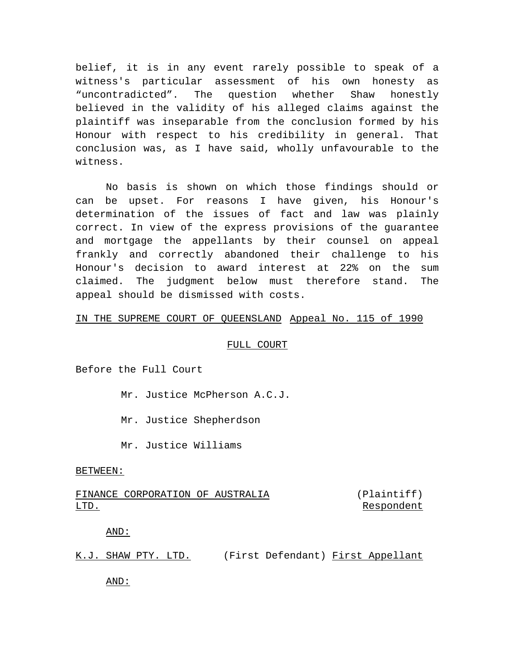belief, it is in any event rarely possible to speak of a witness's particular assessment of his own honesty as "uncontradicted". The question whether Shaw honestly believed in the validity of his alleged claims against the plaintiff was inseparable from the conclusion formed by his Honour with respect to his credibility in general. That conclusion was, as I have said, wholly unfavourable to the witness.

No basis is shown on which those findings should or can be upset. For reasons I have given, his Honour's determination of the issues of fact and law was plainly correct. In view of the express provisions of the guarantee and mortgage the appellants by their counsel on appeal frankly and correctly abandoned their challenge to his Honour's decision to award interest at 22% on the sum claimed. The judgment below must therefore stand. The appeal should be dismissed with costs.

# IN THE SUPREME COURT OF QUEENSLAND Appeal No. 115 of 1990

# FULL COURT

Before the Full Court

Mr. Justice McPherson A.C.J.

Mr. Justice Shepherdson

Mr. Justice Williams

### BETWEEN:

#### FINANCE CORPORATION OF AUSTRALIA LTD. (Plaintiff) Respondent

# AND:

| K.J. SHAW PTY. LTD. |  | (First Defendant) First Appellant |  |
|---------------------|--|-----------------------------------|--|
|                     |  |                                   |  |

AND: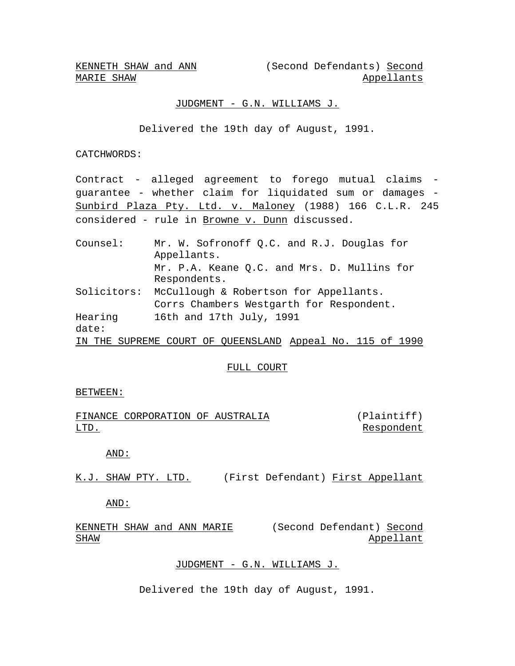MARIE SHAW

KENNETH SHAW and ANN (Second Defendants) Second Appellants

# JUDGMENT - G.N. WILLIAMS J.

Delivered the 19th day of August, 1991.

CATCHWORDS:

Contract - alleged agreement to forego mutual claims guarantee - whether claim for liquidated sum or damages - Sunbird Plaza Pty. Ltd. v. Maloney (1988) 166 C.L.R. 245 considered - rule in Browne v. Dunn discussed.

| Counsel:    | Mr. W. Sofronoff Q.C. and R.J. Douglas for                |  |  |  |  |  |  |  |  |
|-------------|-----------------------------------------------------------|--|--|--|--|--|--|--|--|
|             | Appellants.                                               |  |  |  |  |  |  |  |  |
|             | Mr. P.A. Keane Q.C. and Mrs. D. Mullins for               |  |  |  |  |  |  |  |  |
|             | Respondents.                                              |  |  |  |  |  |  |  |  |
| Solicitors: | McCullough & Robertson for Appellants.                    |  |  |  |  |  |  |  |  |
|             | Corrs Chambers Westgarth for Respondent.                  |  |  |  |  |  |  |  |  |
| Hearing     | 16th and 17th July, 1991                                  |  |  |  |  |  |  |  |  |
| date:       |                                                           |  |  |  |  |  |  |  |  |
|             | IN THE SUPREME COURT OF QUEENSLAND Appeal No. 115 of 1990 |  |  |  |  |  |  |  |  |

### FULL COURT

### BETWEEN:

|      | FINANCE CORPORATION OF AUSTRALIA |  | (Plaintiff) |
|------|----------------------------------|--|-------------|
| LTD. |                                  |  | Respondent  |

# AND:

K.J. SHAW PTY. LTD. (First Defendant) First Appellant

AND:

KENNETH SHAW and ANN MARIE (Second Defendant) Second SHAW Appellant

# JUDGMENT - G.N. WILLIAMS J.

Delivered the 19th day of August, 1991.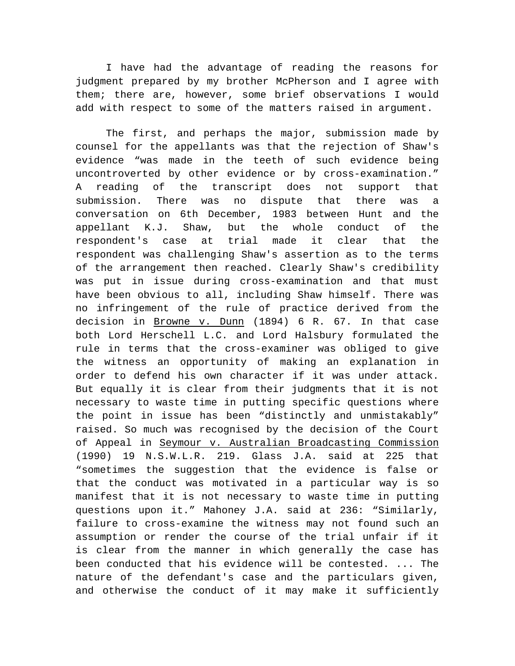I have had the advantage of reading the reasons for judgment prepared by my brother McPherson and I agree with them; there are, however, some brief observations I would add with respect to some of the matters raised in argument.

The first, and perhaps the major, submission made by counsel for the appellants was that the rejection of Shaw's evidence "was made in the teeth of such evidence being uncontroverted by other evidence or by cross-examination." A reading of the transcript does not support that submission. There was no dispute that there was a conversation on 6th December, 1983 between Hunt and the appellant K.J. Shaw, but the whole conduct of the respondent's case at trial made it clear that the respondent was challenging Shaw's assertion as to the terms of the arrangement then reached. Clearly Shaw's credibility was put in issue during cross-examination and that must have been obvious to all, including Shaw himself. There was no infringement of the rule of practice derived from the decision in Browne v. Dunn (1894) 6 R. 67. In that case both Lord Herschell L.C. and Lord Halsbury formulated the rule in terms that the cross-examiner was obliged to give the witness an opportunity of making an explanation in order to defend his own character if it was under attack. But equally it is clear from their judgments that it is not necessary to waste time in putting specific questions where the point in issue has been "distinctly and unmistakably" raised. So much was recognised by the decision of the Court of Appeal in Seymour v. Australian Broadcasting Commission (1990) 19 N.S.W.L.R. 219. Glass J.A. said at 225 that "sometimes the suggestion that the evidence is false or that the conduct was motivated in a particular way is so manifest that it is not necessary to waste time in putting questions upon it." Mahoney J.A. said at 236: "Similarly, failure to cross-examine the witness may not found such an assumption or render the course of the trial unfair if it is clear from the manner in which generally the case has been conducted that his evidence will be contested. ... The nature of the defendant's case and the particulars given, and otherwise the conduct of it may make it sufficiently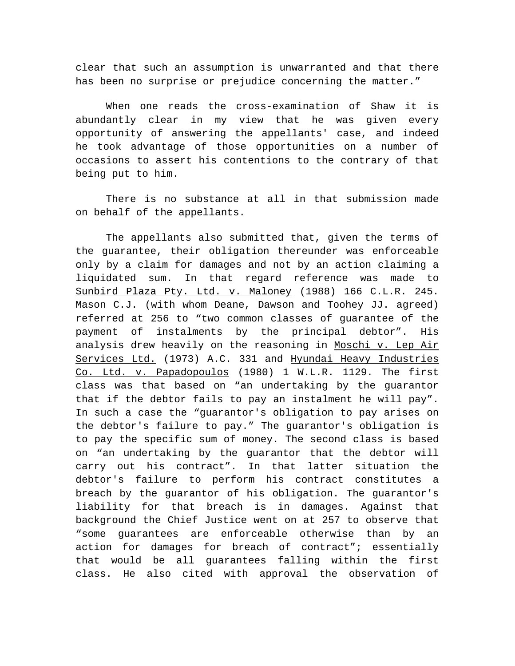clear that such an assumption is unwarranted and that there has been no surprise or prejudice concerning the matter."

When one reads the cross-examination of Shaw it is abundantly clear in my view that he was given every opportunity of answering the appellants' case, and indeed he took advantage of those opportunities on a number of occasions to assert his contentions to the contrary of that being put to him.

There is no substance at all in that submission made on behalf of the appellants.

The appellants also submitted that, given the terms of the guarantee, their obligation thereunder was enforceable only by a claim for damages and not by an action claiming a liquidated sum. In that regard reference was made to Sunbird Plaza Pty. Ltd. v. Maloney (1988) 166 C.L.R. 245. Mason C.J. (with whom Deane, Dawson and Toohey JJ. agreed) referred at 256 to "two common classes of guarantee of the payment of instalments by the principal debtor". His analysis drew heavily on the reasoning in Moschi v. Lep Air Services Ltd. (1973) A.C. 331 and Hyundai Heavy Industries Co. Ltd. v. Papadopoulos (1980) 1 W.L.R. 1129. The first class was that based on "an undertaking by the guarantor that if the debtor fails to pay an instalment he will pay". In such a case the "guarantor's obligation to pay arises on the debtor's failure to pay." The guarantor's obligation is to pay the specific sum of money. The second class is based on "an undertaking by the guarantor that the debtor will carry out his contract". In that latter situation the debtor's failure to perform his contract constitutes a breach by the guarantor of his obligation. The guarantor's liability for that breach is in damages. Against that background the Chief Justice went on at 257 to observe that "some guarantees are enforceable otherwise than by an action for damages for breach of contract"; essentially that would be all guarantees falling within the first class. He also cited with approval the observation of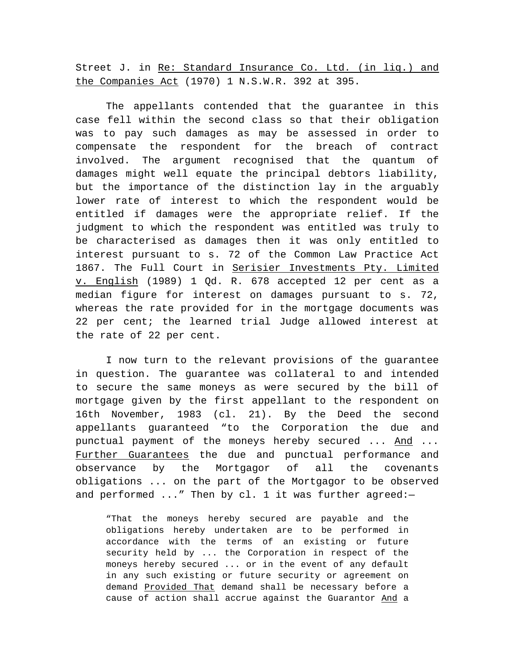Street J. in Re: Standard Insurance Co. Ltd. (in liq.) and the Companies Act (1970) 1 N.S.W.R. 392 at 395.

The appellants contended that the guarantee in this case fell within the second class so that their obligation was to pay such damages as may be assessed in order to compensate the respondent for the breach of contract involved. The argument recognised that the quantum of damages might well equate the principal debtors liability, but the importance of the distinction lay in the arguably lower rate of interest to which the respondent would be entitled if damages were the appropriate relief. If the judgment to which the respondent was entitled was truly to be characterised as damages then it was only entitled to interest pursuant to s. 72 of the Common Law Practice Act 1867. The Full Court in Serisier Investments Pty. Limited v. English (1989) 1 Qd. R. 678 accepted 12 per cent as a median figure for interest on damages pursuant to s. 72, whereas the rate provided for in the mortgage documents was 22 per cent; the learned trial Judge allowed interest at the rate of 22 per cent.

I now turn to the relevant provisions of the guarantee in question. The guarantee was collateral to and intended to secure the same moneys as were secured by the bill of mortgage given by the first appellant to the respondent on 16th November, 1983 (cl. 21). By the Deed the second appellants guaranteed "to the Corporation the due and punctual payment of the moneys hereby secured ... And ... Further Guarantees the due and punctual performance and observance by the Mortgagor of all the covenants obligations ... on the part of the Mortgagor to be observed and performed ..." Then by cl. 1 it was further agreed:-

"That the moneys hereby secured are payable and the obligations hereby undertaken are to be performed in accordance with the terms of an existing or future security held by ... the Corporation in respect of the moneys hereby secured ... or in the event of any default in any such existing or future security or agreement on demand Provided That demand shall be necessary before a cause of action shall accrue against the Guarantor And a